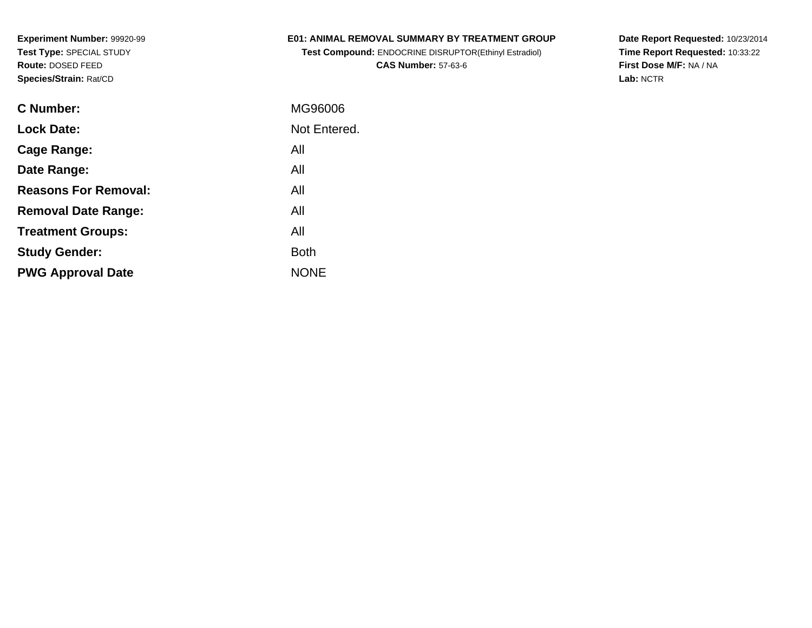## **E01: ANIMAL REMOVAL SUMMARY BY TREATMENT GROUP**

**Test Compound:** ENDOCRINE DISRUPTOR(Ethinyl Estradiol)**CAS Number:** 57-63-6

**Date Report Requested:** 10/23/2014 **Time Report Requested:** 10:33:22**First Dose M/F:** NA / NA**Lab:** NCTR

| C Number:                   | MG96006      |
|-----------------------------|--------------|
| <b>Lock Date:</b>           | Not Entered. |
| Cage Range:                 | All          |
| Date Range:                 | All          |
| <b>Reasons For Removal:</b> | All          |
| <b>Removal Date Range:</b>  | All          |
| <b>Treatment Groups:</b>    | All          |
| <b>Study Gender:</b>        | <b>Both</b>  |
| <b>PWG Approval Date</b>    | <b>NONE</b>  |
|                             |              |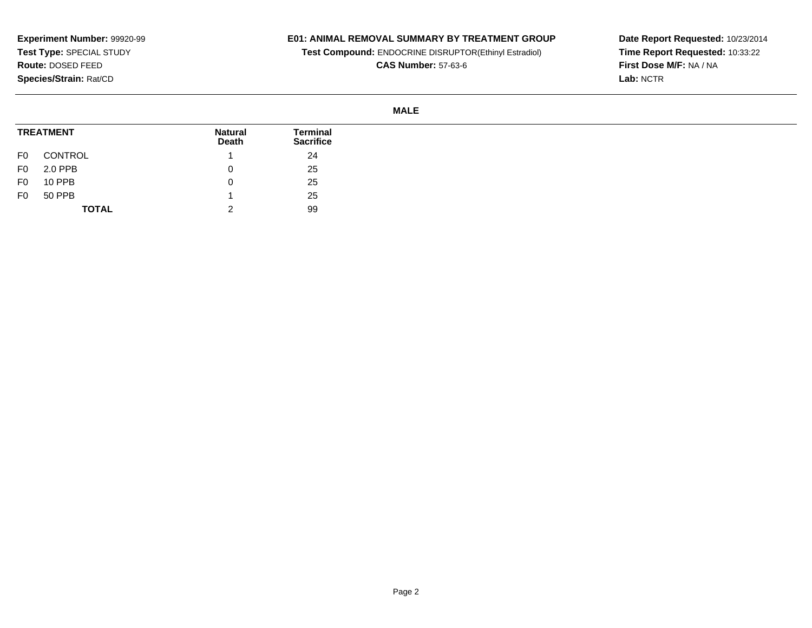# **E01: ANIMAL REMOVAL SUMMARY BY TREATMENT GROUP**

**Test Compound:** ENDOCRINE DISRUPTOR(Ethinyl Estradiol)

**CAS Number:** 57-63-6

**Date Report Requested:** 10/23/2014 **Time Report Requested:** 10:33:22**First Dose M/F:** NA / NA**Lab:** NCTR

### **MALE**

| <b>TREATMENT</b> |              | <b>Natural</b><br>Death | Terminal<br><b>Sacrifice</b> |
|------------------|--------------|-------------------------|------------------------------|
| F0               | CONTROL      |                         | 24                           |
| F <sub>0</sub>   | 2.0 PPB      |                         | 25                           |
| F0               | 10 PPB       |                         | 25                           |
| F <sub>0</sub>   | 50 PPB       |                         | 25                           |
|                  | <b>TOTAL</b> | ີ<br>_                  | 99                           |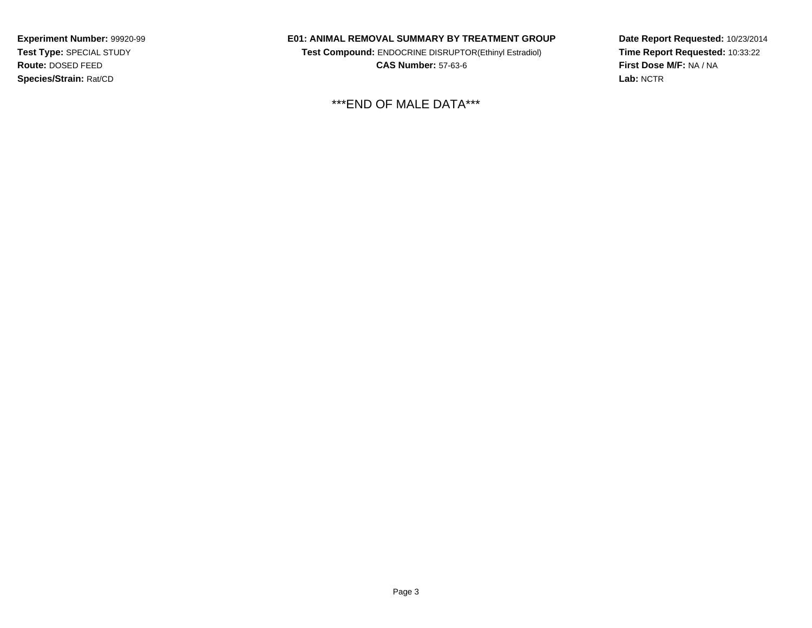#### **E01: ANIMAL REMOVAL SUMMARY BY TREATMENT GROUP**

**Test Compound:** ENDOCRINE DISRUPTOR(Ethinyl Estradiol)**CAS Number:** 57-63-6

\*\*\*END OF MALE DATA\*\*\*

**Date Report Requested:** 10/23/2014 **Time Report Requested:** 10:33:22**First Dose M/F:** NA / NA**Lab:** NCTR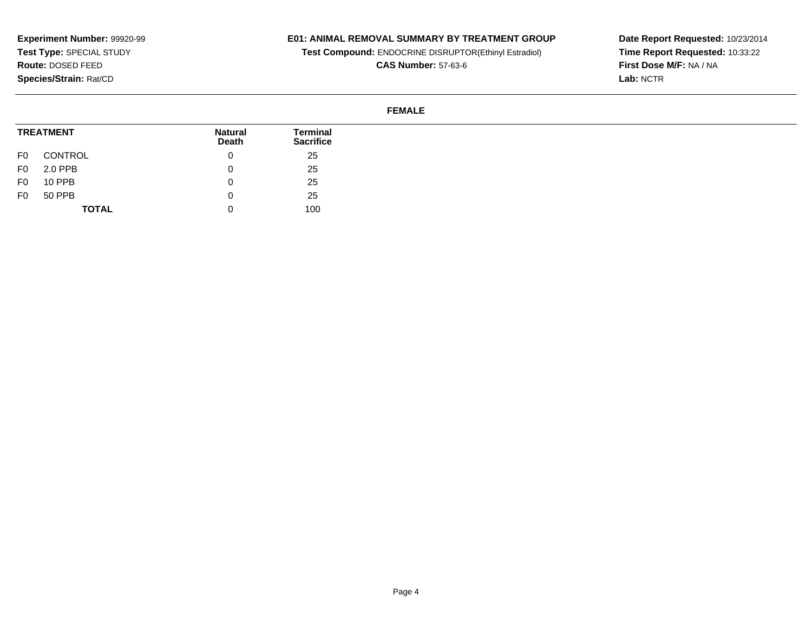## **E01: ANIMAL REMOVAL SUMMARY BY TREATMENT GROUP**

**Test Compound:** ENDOCRINE DISRUPTOR(Ethinyl Estradiol)

**CAS Number:** 57-63-6

**Date Report Requested:** 10/23/2014 **Time Report Requested:** 10:33:22**First Dose M/F:** NA / NA**Lab:** NCTR

## **FEMALE**

| <b>TREATMENT</b> |              | <b>Natural</b><br><b>Death</b> | <b>Terminal</b><br><b>Sacrifice</b> |
|------------------|--------------|--------------------------------|-------------------------------------|
| F0               | CONTROL      | 0                              | 25                                  |
| F0               | 2.0 PPB      | 0                              | 25                                  |
| F0               | 10 PPB       |                                | 25                                  |
| F0               | 50 PPB       | u                              | 25                                  |
|                  | <b>TOTAL</b> | 0                              | 100                                 |